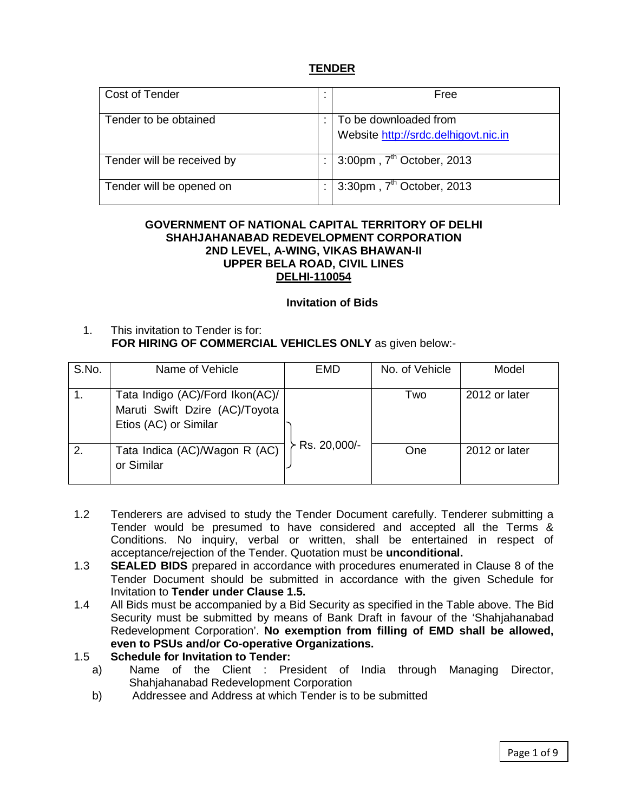### **TENDER**

| Cost of Tender             | Free                                                          |
|----------------------------|---------------------------------------------------------------|
| Tender to be obtained      | To be downloaded from<br>Website http://srdc.delhigovt.nic.in |
| Tender will be received by | $3:00$ pm, $7th$ October, 2013                                |
| Tender will be opened on   | $3:30$ pm, $7th$ October, 2013                                |

#### **GOVERNMENT OF NATIONAL CAPITAL TERRITORY OF DELHI SHAHJAHANABAD REDEVELOPMENT CORPORATION 2ND LEVEL, A-WING, VIKAS BHAWAN-II UPPER BELA ROAD, CIVIL LINES DELHI-110054**

#### **Invitation of Bids**

1. This invitation to Tender is for:  **FOR HIRING OF COMMERCIAL VEHICLES ONLY** as given below:-

| S.No. | Name of Vehicle                                                                            | <b>EMD</b>   | No. of Vehicle | Model         |
|-------|--------------------------------------------------------------------------------------------|--------------|----------------|---------------|
|       | Tata Indigo (AC)/Ford Ikon(AC)/<br>Maruti Swift Dzire (AC)/Toyota<br>Etios (AC) or Similar |              | Two            | 2012 or later |
| 2.    | Tata Indica (AC)/Wagon R (AC)<br>or Similar                                                | Rs. 20,000/- | One            | 2012 or later |

- 1.2 Tenderers are advised to study the Tender Document carefully. Tenderer submitting a Tender would be presumed to have considered and accepted all the Terms & Conditions. No inquiry, verbal or written, shall be entertained in respect of acceptance/rejection of the Tender. Quotation must be **unconditional.**
- 1.3 **SEALED BIDS** prepared in accordance with procedures enumerated in Clause 8 of the Tender Document should be submitted in accordance with the given Schedule for Invitation to **Tender under Clause 1.5.**
- 1.4 All Bids must be accompanied by a Bid Security as specified in the Table above. The Bid Security must be submitted by means of Bank Draft in favour of the 'Shahjahanabad Redevelopment Corporation'. **No exemption from filling of EMD shall be allowed, even to PSUs and/or Co-operative Organizations.**

### 1.5 **Schedule for Invitation to Tender:**

- a) Name of the Client : President of India through Managing Director, Shahjahanabad Redevelopment Corporation
- b) Addressee and Address at which Tender is to be submitted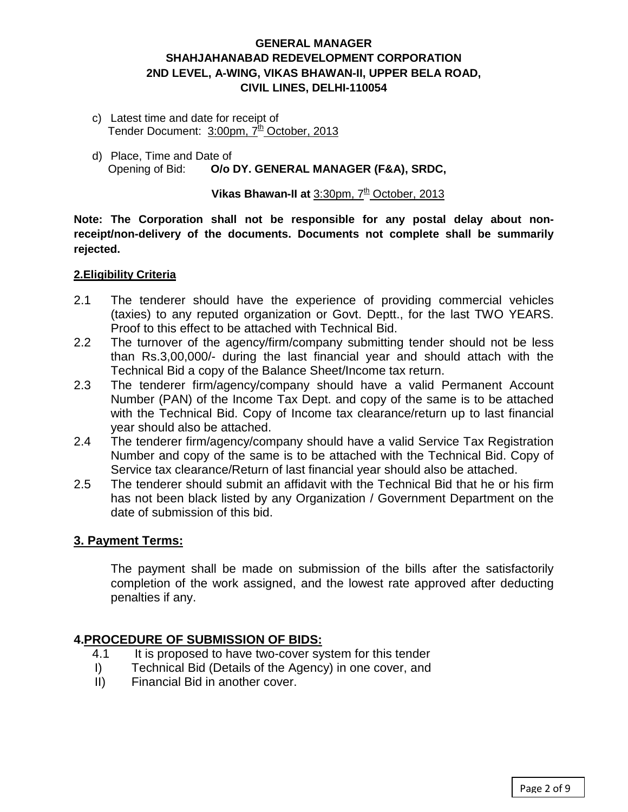# **GENERAL MANAGER SHAHJAHANABAD REDEVELOPMENT CORPORATION 2ND LEVEL, A-WING, VIKAS BHAWAN-II, UPPER BELA ROAD, CIVIL LINES, DELHI-110054**

- c) Latest time and date for receipt of Tender Document: 3:00pm, 7<sup>th</sup> October, 2013
- d) Place, Time and Date of Opening of Bid: **O/o DY. GENERAL MANAGER (F&A), SRDC,**

# **Vikas Bhawan-II at** 3:30pm, 7<sup>th</sup> October, 2013

**Note: The Corporation shall not be responsible for any postal delay about nonreceipt/non-delivery of the documents. Documents not complete shall be summarily rejected.**

### **2.Eligibility Criteria**

- 2.1 The tenderer should have the experience of providing commercial vehicles (taxies) to any reputed organization or Govt. Deptt., for the last TWO YEARS. Proof to this effect to be attached with Technical Bid.
- 2.2 The turnover of the agency/firm/company submitting tender should not be less than Rs.3,00,000/- during the last financial year and should attach with the Technical Bid a copy of the Balance Sheet/Income tax return.
- 2.3 The tenderer firm/agency/company should have a valid Permanent Account Number (PAN) of the Income Tax Dept. and copy of the same is to be attached with the Technical Bid. Copy of Income tax clearance/return up to last financial year should also be attached.
- 2.4 The tenderer firm/agency/company should have a valid Service Tax Registration Number and copy of the same is to be attached with the Technical Bid. Copy of Service tax clearance/Return of last financial year should also be attached.
- 2.5 The tenderer should submit an affidavit with the Technical Bid that he or his firm has not been black listed by any Organization / Government Department on the date of submission of this bid.

# **3. Payment Terms:**

The payment shall be made on submission of the bills after the satisfactorily completion of the work assigned, and the lowest rate approved after deducting penalties if any.

# **4. PROCEDURE OF SUBMISSION OF BIDS:**

- 4.1 It is proposed to have two-cover system for this tender
- I) Technical Bid (Details of the Agency) in one cover, and
- II) Financial Bid in another cover.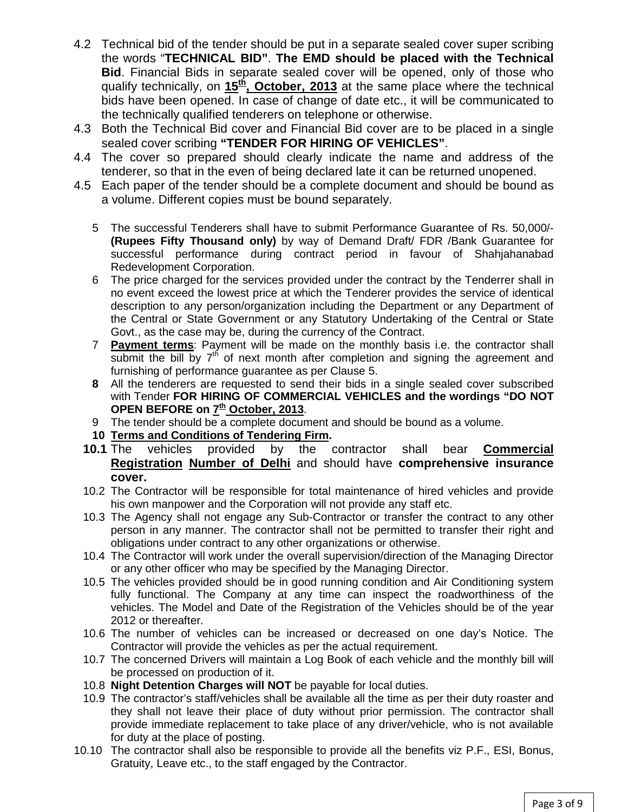- 4.2 Technical bid of the tender should be put in a separate sealed cover super scribing the words "**TECHNICAL BID"**. **The EMD should be placed with the Technical Bid**. Financial Bids in separate sealed cover will be opened, only of those who qualify technically, on 15<sup>th</sup>, October, 2013 at the same place where the technical bids have been opened. In case of change of date etc., it will be communicated to the technically qualified tenderers on telephone or otherwise.
- 4.3 Both the Technical Bid cover and Financial Bid cover are to be placed in a single sealed cover scribing **"TENDER FOR HIRING OF VEHICLES"**.
- 4.4 The cover so prepared should clearly indicate the name and address of the tenderer, so that in the even of being declared late it can be returned unopened.
- 4.5 Each paper of the tender should be a complete document and should be bound as a volume. Different copies must be bound separately.
	- 5 The successful Tenderers shall have to submit Performance Guarantee of Rs. 50,000/- **(Rupees Fifty Thousand only)** by way of Demand Draft/ FDR /Bank Guarantee for successful performance during contract period in favour of Shahjahanabad Redevelopment Corporation.
	- 6 The price charged for the services provided under the contract by the Tenderrer shall in no event exceed the lowest price at which the Tenderer provides the service of identical description to any person/organization including the Department or any Department of the Central or State Government or any Statutory Undertaking of the Central or State Govt., as the case may be, during the currency of the Contract.
	- 7 **Payment terms**: Payment will be made on the monthly basis i.e. the contractor shall submit the bill by  $7<sup>th</sup>$  of next month after completion and signing the agreement and furnishing of performance guarantee as per Clause 5.
	- **8** All the tenderers are requested to send their bids in a single sealed cover subscribed with Tender **FOR HIRING OF COMMERCIAL VEHICLES and the wordings "DO NOT**  OPEN BEFORE on  $\mathbf{Z}^{\underline{\text{th}}}$  October, 2013.
	- 9 The tender should be a complete document and should be bound as a volume.
	- **10 Terms and Conditions of Tendering Firm .**
	- **10.1** The vehicles provided by the contractor shall **Commercial Registration Number of Delhi** and should have **comprehensive insurance cover.**
	- 10.2 The Contractor will be responsible for total maintenance of hired vehicles and provide his own manpower and the Corporation will not provide any staff etc.
	- 10.3 The Agency shall not engage any Sub-Contractor or transfer the contract to any other person in any manner. The contractor shall not be permitted to transfer their right and obligations under contract to any other organizations or otherwise.
	- 10.4 The Contractor will work under the overall supervision/direction of the Managing Director or any other officer who may be specified by the Managing Director.
	- 10.5 The vehicles provided should be in good running condition and Air Conditioning system fully functional. The Company at any time can inspect the roadworthiness of the vehicles. The Model and Date of the Registration of the Vehicles should be of the year 2012 or thereafter.
	- 10.6 The number of vehicles can be increased or decreased on one day's Notice. The Contractor will provide the vehicles as per the actual requirement.
	- 10.7 The concerned Drivers will maintain a Log Book of each vehicle and the monthly bill will be processed on production of it.
	- 10.8 **Night Detention Charges will NOT** be payable for local duties.
	- 10.9 The contractor's staff/vehicles shall be available all the time as per their duty roaster and they shall not leave their place of duty without prior permission. The contractor shall provide immediate replacement to take place of any driver/vehicle, who is not available for duty at the place of posting.
- 10.10 The contractor shall also be responsible to provide all the benefits viz P.F., ESI, Bonus, Gratuity, Leave etc., to the staff engaged by the Contractor.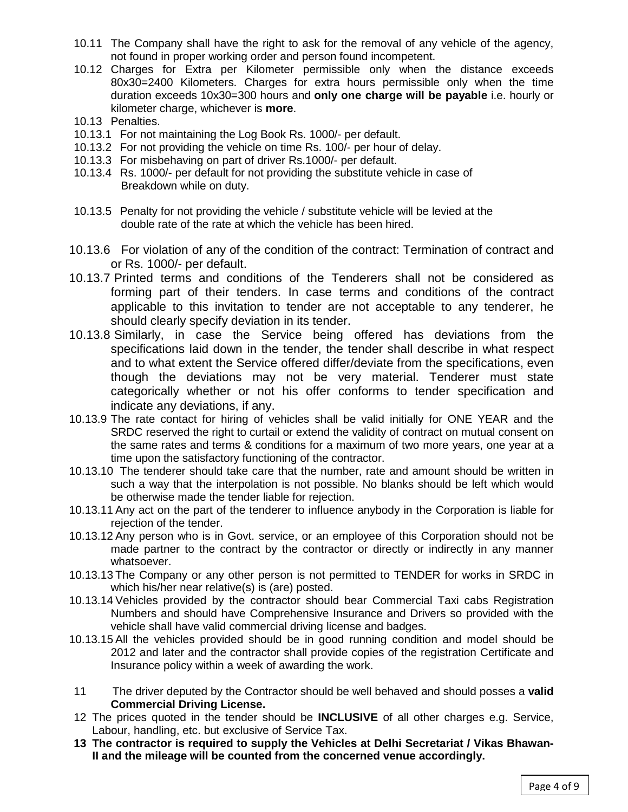- 10.11 The Company shall have the right to ask for the removal of any vehicle of the agency, not found in proper working order and person found incompetent.
- 10.12 Charges for Extra per Kilometer permissible only when the distance exceeds 80x30=2400 Kilometers. Charges for extra hours permissible only when the time duration exceeds 10x30=300 hours and **only one charge will be payable** i.e. hourly or kilometer charge, whichever is **more**.
- 10.13 Penalties.
- 10.13.1 For not maintaining the Log Book Rs. 1000/- per default.
- 10.13.2 For not providing the vehicle on time Rs. 100/- per hour of delay.
- 10.13.3 For misbehaving on part of driver Rs.1000/- per default.
- 10.13.4 Rs. 1000/- per default for not providing the substitute vehicle in case of Breakdown while on duty.
- 10.13.5 Penalty for not providing the vehicle / substitute vehicle will be levied at the double rate of the rate at which the vehicle has been hired.
- 10.13.6 For violation of any of the condition of the contract: Termination of contract and or Rs. 1000/- per default.
- 10.13.7 Printed terms and conditions of the Tenderers shall not be considered as forming part of their tenders. In case terms and conditions of the contract applicable to this invitation to tender are not acceptable to any tenderer, he should clearly specify deviation in its tender.
- 10.13.8 Similarly, in case the Service being offered has deviations from the specifications laid down in the tender, the tender shall describe in what respect and to what extent the Service offered differ/deviate from the specifications, even though the deviations may not be very material. Tenderer must state categorically whether or not his offer conforms to tender specification and indicate any deviations, if any.
- 10.13.9 The rate contact for hiring of vehicles shall be valid initially for ONE YEAR and the SRDC reserved the right to curtail or extend the validity of contract on mutual consent on the same rates and terms & conditions for a maximum of two more years, one year at a time upon the satisfactory functioning of the contractor.
- 10.13.10 The tenderer should take care that the number, rate and amount should be written in such a way that the interpolation is not possible. No blanks should be left which would be otherwise made the tender liable for rejection.
- 10.13.11 Any act on the part of the tenderer to influence anybody in the Corporation is liable for rejection of the tender.
- 10.13.12 Any person who is in Govt. service, or an employee of this Corporation should not be made partner to the contract by the contractor or directly or indirectly in any manner whatsoever.
- 10.13.13 The Company or any other person is not permitted to TENDER for works in SRDC in which his/her near relative(s) is (are) posted.
- 10.13.14 Vehicles provided by the contractor should bear Commercial Taxi cabs Registration Numbers and should have Comprehensive Insurance and Drivers so provided with the vehicle shall have valid commercial driving license and badges.
- 10.13.15 All the vehicles provided should be in good running condition and model should be 2012 and later and the contractor shall provide copies of the registration Certificate and Insurance policy within a week of awarding the work.
- 11 The driver deputed by the Contractor should be well behaved and should posses a **valid Commercial Driving License.**
- 12 The prices quoted in the tender should be **INCLUSIVE** of all other charges e.g. Service, Labour, handling, etc. but exclusive of Service Tax.
- **13 The contractor is required to supply the Vehicles at Delhi Secretariat / Vikas Bhawan-II and the mileage will be counted from the concerned venue accordingly.**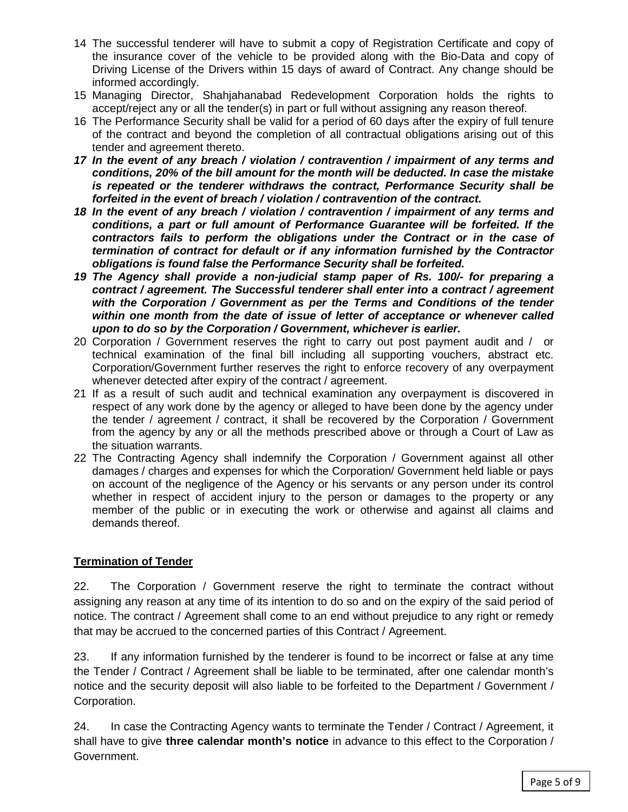- 14 The successful tenderer will have to submit a copy of Registration Certificate and copy of the insurance cover of the vehicle to be provided along with the Bio-Data and copy of Driving License of the Drivers within 15 days of award of Contract. Any change should be informed accordingly.
- 15 Managing Director, Shahjahanabad Redevelopment Corporation holds the rights to accept/reject any or all the tender(s) in part or full without assigning any reason thereof.
- 16 The Performance Security shall be valid for a period of 60 days after the expiry of full tenure of the contract and beyond the completion of all contractual obligations arising out of this tender and agreement thereto.
- *17 In the event of any breach / violation / contravention / impairment of any terms and conditions, 20% of the bill amount for the month will be deducted. In case the mistake is repeated or the tenderer withdraws the contract, Performance Security shall be forfeited in the event of breach / violation / contravention of the contract.*
- *18 In the event of any breach / violation / contravention / impairment of any terms and conditions, a part or full amount of Performance Guarantee will be forfeited. If the contractors fails to perform the obligations under the Contract or in the case of termination of contract for default or if any information furnished by the Contractor obligations is found false the Performance Security shall be forfeited.*
- *19 The Agency shall provide a non-judicial stamp paper of Rs. 100/- for preparing a contract / agreement. The Successful tenderer shall enter into a contract / agreement with the Corporation / Government as per the Terms and Conditions of the tender within one month from the date of issue of letter of acceptance or whenever called upon to do so by the Corporation / Government, whichever is earlier.*
- 20 Corporation / Government reserves the right to carry out post payment audit and / or technical examination of the final bill including all supporting vouchers, abstract etc. Corporation/Government further reserves the right to enforce recovery of any overpayment whenever detected after expiry of the contract / agreement.
- 21 If as a result of such audit and technical examination any overpayment is discovered in respect of any work done by the agency or alleged to have been done by the agency under the tender / agreement / contract, it shall be recovered by the Corporation / Government from the agency by any or all the methods prescribed above or through a Court of Law as the situation warrants.
- 22 The Contracting Agency shall indemnify the Corporation / Government against all other damages / charges and expenses for which the Corporation/ Government held liable or pays on account of the negligence of the Agency or his servants or any person under its control whether in respect of accident injury to the person or damages to the property or any member of the public or in executing the work or otherwise and against all claims and demands thereof.

# **Termination of Tender**

22. The Corporation / Government reserve the right to terminate the contract without assigning any reason at any time of its intention to do so and on the expiry of the said period of notice. The contract / Agreement shall come to an end without prejudice to any right or remedy that may be accrued to the concerned parties of this Contract / Agreement.

23. If any information furnished by the tenderer is found to be incorrect or false at any time the Tender / Contract / Agreement shall be liable to be terminated, after one calendar month's notice and the security deposit will also liable to be forfeited to the Department / Government / Corporation.

24. In case the Contracting Agency wants to terminate the Tender / Contract / Agreement, it shall have to give **three calendar month's notice** in advance to this effect to the Corporation / Government.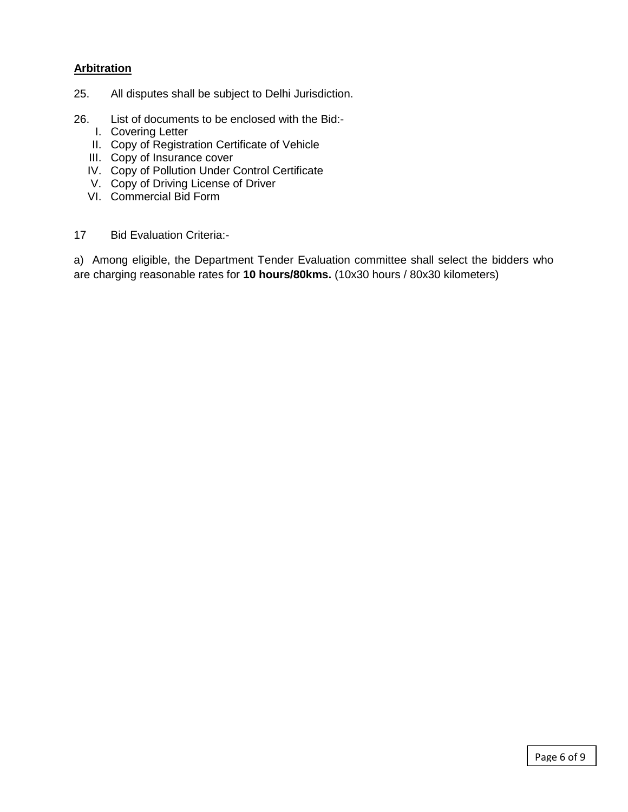### **Arbitration**

- 25. All disputes shall be subject to Delhi Jurisdiction.
- 26. List of documents to be enclosed with the Bid:-
	- I. Covering Letter
	- II. Copy of Registration Certificate of Vehicle
	- III. Copy of Insurance cover
	- IV. Copy of Pollution Under Control Certificate
	- V. Copy of Driving License of Driver
	- VI. Commercial Bid Form
- 17 Bid Evaluation Criteria:-

a) Among eligible, the Department Tender Evaluation committee shall select the bidders who are charging reasonable rates for **10 hours/80kms.** (10x30 hours / 80x30 kilometers)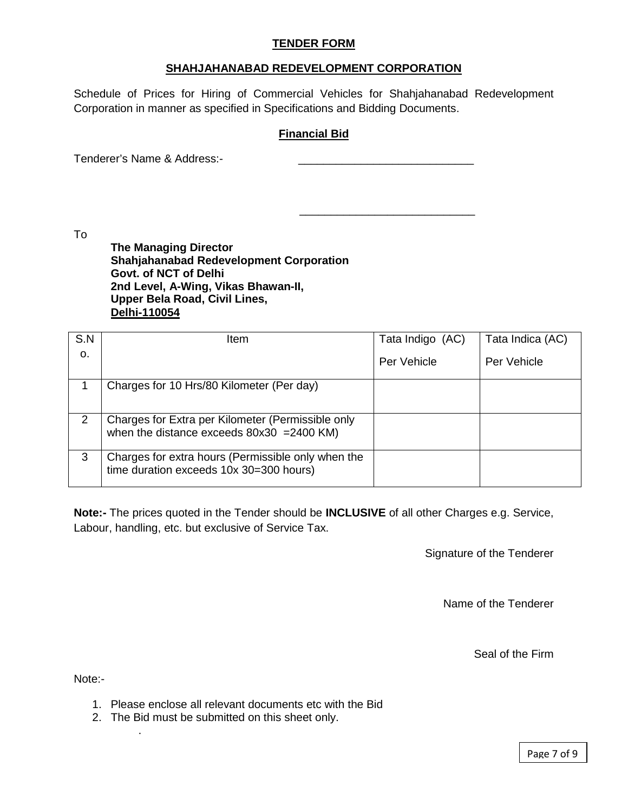#### **TENDER FORM**

#### **SHAHJAHANABAD REDEVELOPMENT CORPORATION**

Schedule of Prices for Hiring of Commercial Vehicles for Shahjahanabad Redevelopment Corporation in manner as specified in Specifications and Bidding Documents.

#### **Financial Bid**

 $\frac{1}{\sqrt{2}}$  ,  $\frac{1}{\sqrt{2}}$  ,  $\frac{1}{\sqrt{2}}$  ,  $\frac{1}{\sqrt{2}}$  ,  $\frac{1}{\sqrt{2}}$  ,  $\frac{1}{\sqrt{2}}$  ,  $\frac{1}{\sqrt{2}}$  ,  $\frac{1}{\sqrt{2}}$  ,  $\frac{1}{\sqrt{2}}$  ,  $\frac{1}{\sqrt{2}}$  ,  $\frac{1}{\sqrt{2}}$  ,  $\frac{1}{\sqrt{2}}$  ,  $\frac{1}{\sqrt{2}}$  ,  $\frac{1}{\sqrt{2}}$  ,  $\frac{1}{\sqrt{2}}$ 

Tenderer's Name & Address:-

To

**The Managing Director Shahjahanabad Redevelopment Corporation Govt. of NCT of Delhi 2nd Level, A-Wing, Vikas Bhawan-II, Upper Bela Road, Civil Lines, Delhi-110054**

| S.N | <b>Item</b>                                                                                       | Tata Indigo (AC) | Tata Indica (AC) |
|-----|---------------------------------------------------------------------------------------------------|------------------|------------------|
| 0.  |                                                                                                   | Per Vehicle      | Per Vehicle      |
|     | Charges for 10 Hrs/80 Kilometer (Per day)                                                         |                  |                  |
| 2   | Charges for Extra per Kilometer (Permissible only<br>when the distance exceeds $80x30 = 2400$ KM) |                  |                  |
| 3   | Charges for extra hours (Permissible only when the<br>time duration exceeds 10x 30=300 hours)     |                  |                  |

**Note:-** The prices quoted in the Tender should be **INCLUSIVE** of all other Charges e.g. Service, Labour, handling, etc. but exclusive of Service Tax.

Signature of the Tenderer

Name of the Tenderer

Seal of the Firm

Note:-

.

- 1. Please enclose all relevant documents etc with the Bid
- 2. The Bid must be submitted on this sheet only.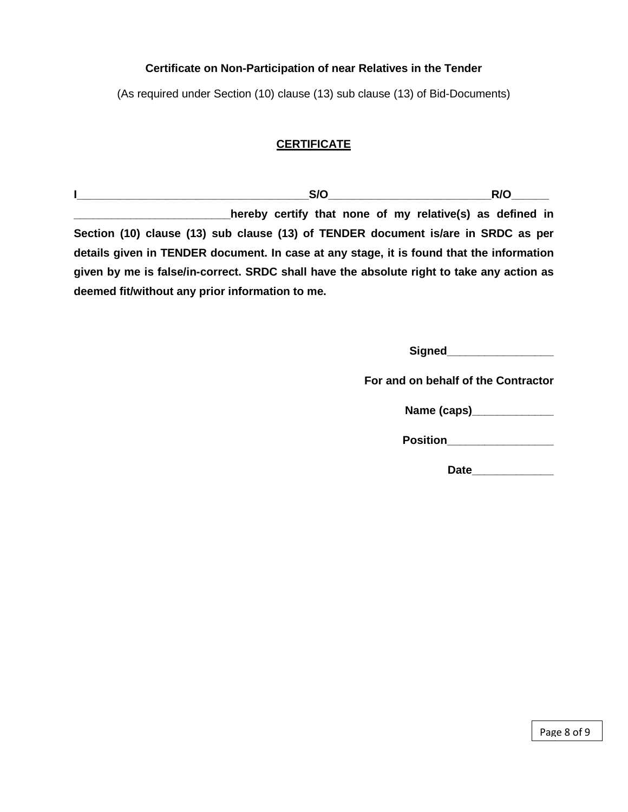### **Certificate on Non-Participation of near Relatives in the Tender**

(As required under Section (10) clause (13) sub clause (13) of Bid-Documents)

# **CERTIFICATE**

 $I$  **I** and  $I$  and  $I$  and  $I$  and  $I$  and  $I$  and  $I$  and  $I$  and  $I$  and  $I$  and  $I$  and  $I$  and  $I$  and  $I$  and  $I$  and  $I$  and  $I$  and  $I$  and  $I$  and  $I$  and  $I$  and  $I$  and  $I$  and  $I$  and  $I$  and  $I$  and  $I$  and **\_\_\_\_\_\_\_\_\_\_\_hereby certify that none of my relative(s) as defined in Section (10) clause (13) sub clause (13) of TENDER document is/are in SRDC as per details given in TENDER document. In case at any stage, it is found that the information given by me is false/in-correct. SRDC shall have the absolute right to take any action as deemed fit/without any prior information to me.**

> **Signed\_\_\_\_\_\_\_\_\_\_\_\_\_\_\_\_\_ For and on behalf of the Contractor Name (caps)\_\_\_\_\_\_\_\_\_\_\_\_\_ Position**

> > **Date\_\_\_\_\_\_\_\_\_\_\_\_\_**